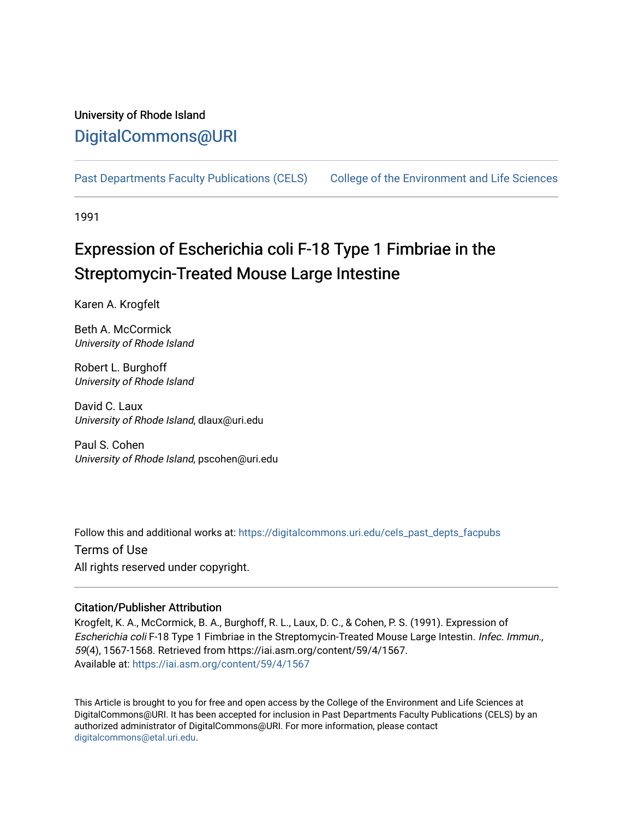## University of Rhode Island [DigitalCommons@URI](https://digitalcommons.uri.edu/)

[Past Departments Faculty Publications \(CELS\)](https://digitalcommons.uri.edu/cels_past_depts_facpubs) [College of the Environment and Life Sciences](https://digitalcommons.uri.edu/cels) 

1991

# Expression of Escherichia coli F-18 Type 1 Fimbriae in the Streptomycin-Treated Mouse Large Intestine

Karen A. Krogfelt

Beth A. McCormick University of Rhode Island

Robert L. Burghoff University of Rhode Island

David C. Laux University of Rhode Island, dlaux@uri.edu

Paul S. Cohen University of Rhode Island, pscohen@uri.edu

Follow this and additional works at: [https://digitalcommons.uri.edu/cels\\_past\\_depts\\_facpubs](https://digitalcommons.uri.edu/cels_past_depts_facpubs?utm_source=digitalcommons.uri.edu%2Fcels_past_depts_facpubs%2F33&utm_medium=PDF&utm_campaign=PDFCoverPages) 

Terms of Use All rights reserved under copyright.

### Citation/Publisher Attribution

Krogfelt, K. A., McCormick, B. A., Burghoff, R. L., Laux, D. C., & Cohen, P. S. (1991). Expression of Escherichia coli F-18 Type 1 Fimbriae in the Streptomycin-Treated Mouse Large Intestin. Infec. Immun., 59(4), 1567-1568. Retrieved from https://iai.asm.org/content/59/4/1567. Available at:<https://iai.asm.org/content/59/4/1567>

This Article is brought to you for free and open access by the College of the Environment and Life Sciences at DigitalCommons@URI. It has been accepted for inclusion in Past Departments Faculty Publications (CELS) by an authorized administrator of DigitalCommons@URI. For more information, please contact [digitalcommons@etal.uri.edu](mailto:digitalcommons@etal.uri.edu).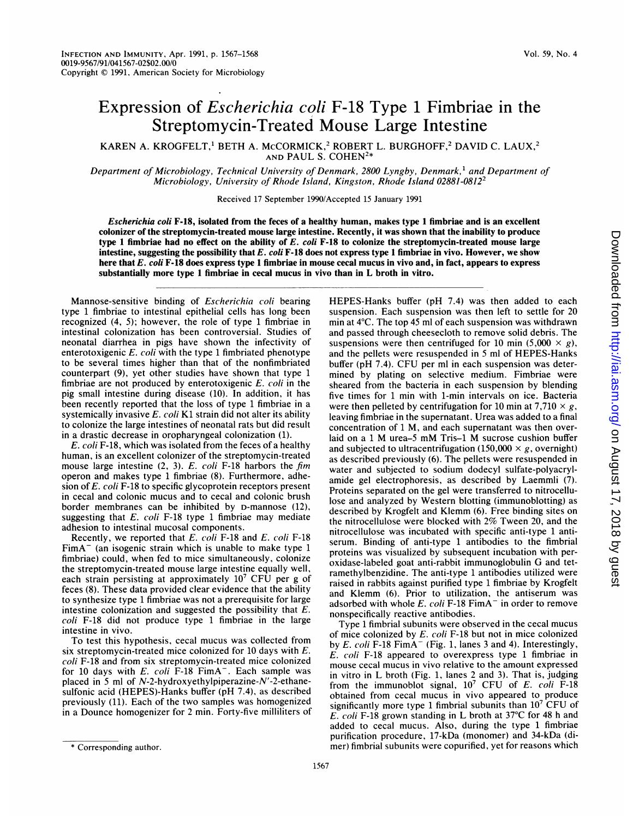## Expression of Escherichia coli F-18 Type <sup>1</sup> Fimbriae in the Streptomycin-Treated Mouse Large Intestine

KAREN A. KROGFELT,<sup>1</sup> BETH A. McCORMICK,<sup>2</sup> ROBERT L. BURGHOFF,<sup>2</sup> DAVID C. LAUX,<sup>2</sup> AND PAUL S. COHEN2\*

Department of Microbiology, Technical University of Denmark, 2800 Lyngby, Denmark,<sup>1</sup> and Department of Microbiology, University of Rhode Island, Kingston, Rhode Island 02881-08122

Received 17 September 1990/Accepted 15 January 1991

Escherichia coli F-18, isolated from the feces of a healthy human, makes type 1 fimbriae and is an excellent colonizer of the streptomycin-treated mouse large intestine. Recently, it was shown that the inability to produce type 1 fimbriae had no effect on the ability of  $E.$  coli  $F-18$  to colonize the streptomycin-treated mouse large intestine, suggesting the possibility that  $E.$  coli  $F-18$  does not express type 1 fimbriae in vivo. However, we show here that E. coli F-18 does express type 1 fimbriae in mouse cecal mucus in vivo and, in fact, appears to express substantially more type <sup>1</sup> fimbriae in cecal mucus in vivo than in L broth in vitro.

Mannose-sensitive binding of Escherichia coli bearing type <sup>1</sup> fimbriae to intestinal epithelial cells has long been recognized (4, 5); however, the role of type 1 fimbriae in intestinal colonization has been controversial. Studies of neonatal diarrhea in pigs have shown the infectivity of enterotoxigenic E. coli with the type <sup>1</sup> fimbriated phenotype to be several times higher than that of the nonfimbriated counterpart (9), yet other studies have shown that type <sup>1</sup> fimbriae are not produced by enterotoxigenic  $E$ . *coli* in the pig small intestine during disease (10). In addition, it has been recently reported that the loss of type <sup>1</sup> fimbriae in a systemically invasive  $E$ . coli K1 strain did not alter its ability to colonize the large intestines of neonatal rats but did result in a drastic decrease in oropharyngeal colonization (1).

E. coli F-18, which was isolated from the feces of a healthy human, is an excellent colonizer of the streptomycin-treated mouse large intestine  $(2, 3)$ . E. coli F-18 harbors the fim operon and makes type <sup>1</sup> fimbriae (8). Furthermore, adhesion of E. coli F-18 to specific glycoprotein receptors present in cecal and colonic mucus and to cecal and colonic brush border membranes can be inhibited by D-mannose (12), suggesting that  $E.$  coli F-18 type 1 fimbriae may mediate adhesion to intestinal mucosal components.

Recently, we reported that E. coli F-18 and E. coli F-18  $FimA^-$  (an isogenic strain which is unable to make type 1 fimbriae) could, when fed to mice simultaneously, colonize the streptomycin-treated mouse large intestine equally well, each strain persisting at approximately 10<sup>7</sup> CFU per g of feces (8). These data provided clear evidence that the ability to synthesize type <sup>1</sup> fimbriae was not a prerequisite for large intestine colonization and suggested the possibility that E. coli F-18 did not produce type <sup>1</sup> fimbriae in the large intestine in vivo.

To test this hypothesis, cecal mucus was collected from six streptomycin-treated mice colonized for 10 days with E. coli F-18 and from six streptomycin-treated mice colonized for 10 days with  $E.$   $coll$   $F-18$   $FimA^-$ . Each sample was placed in 5 ml of N-2-hydroxyethylpiperazine-N'-2-ethanesulfonic acid (HEPES)-Hanks buffer (pH 7.4), as described previously (11). Each of the two samples was homogenized in a Dounce homogenizer for 2 min. Forty-five milliliters of

HEPES-Hanks buffer (pH 7.4) was then added to each suspension. Each suspension was then left to settle for 20 min at 4°C. The top 45 ml of each suspension was withdrawn and passed through cheesecloth to remove solid debris. The suspensions were then centrifuged for 10 min  $(5,000 \times g)$ , and the pellets were resuspended in <sup>5</sup> ml of HEPES-Hanks buffer (pH 7.4). CFU per ml in each suspension was determined by plating on selective medium. Fimbriae were sheared from the bacteria in each suspension by blending five times for <sup>1</sup> min with 1-min intervals on ice. Bacteria were then pelleted by centrifugation for 10 min at 7,710  $\times$  g, leaving fimbriae in the supernatant. Urea was added to a final concentration of <sup>1</sup> M, and each supernatant was then overlaid on <sup>a</sup> <sup>1</sup> M urea-5 mM Tris-1 M sucrose cushion buffer and subjected to ultracentrifugation (150,000  $\times$  g, overnight) as described previously (6). The pellets were resuspended in water and subjected to sodium dodecyl sulfate-polyacrylamide gel electrophoresis, as described by Laemmli (7). Proteins separated on the gel were transferred to nitrocellulose and analyzed by Western blotting (immunoblotting) as described by Krogfelt and Klemm (6). Free binding sites on the nitrocellulose were blocked with 2% Tween 20, and the nitrocellulose was incubated with specific anti-type <sup>1</sup> antiserum. Binding of anti-type 1 antibodies to the fimbrial proteins was visualized by subsequent incubation with peroxidase-labeled goat anti-rabbit immunoglobulin G and tetramethylbenzidine. The anti-type <sup>1</sup> antibodies utilized were raised in rabbits against purified type <sup>1</sup> fimbriae by Krogfelt and Klemm (6). Prior to utilization, the antiserum was adsorbed with whole  $E$ . coli F-18 FimA $^-$  in order to remove nonspecifically reactive antibodies.

Type <sup>1</sup> fimbrial subunits were observed in the cecal mucus of mice colonized by  $E.$  coli F-18 but not in mice colonized by E. coli F-18 FimA<sup>-</sup> (Fig. 1, lanes 3 and 4). Interestingly, E. coli F-18 appeared to overexpress type <sup>1</sup> fimbriae in mouse cecal mucus in vivo relative to the amount expressed in vitro in L broth (Fig. 1, lanes <sup>2</sup> and 3). That is, judging from the immunoblot signal,  $10^7$  CFU of E. coli F-18 obtained from cecal mucus in vivo appeared to produce significantly more type 1 fimbrial subunits than  $10<sup>7</sup>$  CFU of E. coli F-18 grown standing in L broth at 37°C for <sup>48</sup> <sup>h</sup> and added to cecal mucus. Also, during the type <sup>1</sup> fimbriae purification procedure, 17-kDa (monomer) and 34-kDa (dimer) fimbrial subunits were copurified, yet for reasons which

<sup>\*</sup> Corresponding author.